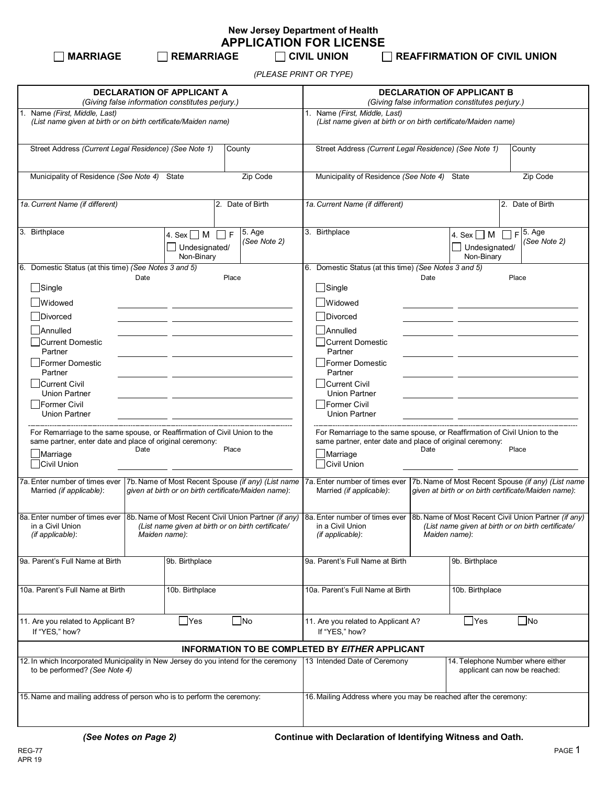**New Jersey Department of Health APPLICATION FOR LICENSE**<br> $\Box$  REMARRIAGE  $\Box$  CIVIL UNION

**MARRIAGE REMARRIAGE CIVIL UNION REAFFIRMATION OF CIVIL UNION**

*(PLEASE PRINT OR TYPE)*

| <b>DECLARATION OF APPLICANT A</b>                                                                                                                                                                                                                                                      |                                                     |                                                                                                                                                                                   | <b>DECLARATION OF APPLICANT B</b>                                                                           |                                                                                                            |  |  |
|----------------------------------------------------------------------------------------------------------------------------------------------------------------------------------------------------------------------------------------------------------------------------------------|-----------------------------------------------------|-----------------------------------------------------------------------------------------------------------------------------------------------------------------------------------|-------------------------------------------------------------------------------------------------------------|------------------------------------------------------------------------------------------------------------|--|--|
| (Giving false information constitutes perjury.)                                                                                                                                                                                                                                        |                                                     |                                                                                                                                                                                   | (Giving false information constitutes perjury.)                                                             |                                                                                                            |  |  |
| 1. Name (First, Middle, Last)<br>(List name given at birth or on birth certificate/Maiden name)                                                                                                                                                                                        |                                                     |                                                                                                                                                                                   | 1. Name (First, Middle, Last)<br>(List name given at birth or on birth certificate/Maiden name)             |                                                                                                            |  |  |
| Street Address (Current Legal Residence) (See Note 1)<br>County                                                                                                                                                                                                                        |                                                     |                                                                                                                                                                                   | Street Address (Current Legal Residence) (See Note 1)<br>County                                             |                                                                                                            |  |  |
| Municipality of Residence (See Note 4)                                                                                                                                                                                                                                                 | State                                               | Zip Code                                                                                                                                                                          | Municipality of Residence (See Note 4)<br>Zip Code<br>State                                                 |                                                                                                            |  |  |
| 1a. Current Name (if different)<br>2. Date of Birth                                                                                                                                                                                                                                    |                                                     | 1a. Current Name (if different)<br>2. Date of Birth                                                                                                                               |                                                                                                             |                                                                                                            |  |  |
| 3. Birthplace                                                                                                                                                                                                                                                                          | F<br>4. Sex $\Box$ M<br>Undesignated/<br>Non-Binary | 5. Age<br>(See Note 2)                                                                                                                                                            | 3. Birthplace                                                                                               | $F$ 5. Age<br>4. Sex $\Box$ M<br>(See Note 2)<br>Undesignated/<br>Non-Binary                               |  |  |
| 6. Domestic Status (at this time) (See Notes 3 and 5)                                                                                                                                                                                                                                  |                                                     |                                                                                                                                                                                   | 6. Domestic Status (at this time) (See Notes 3 and 5)                                                       |                                                                                                            |  |  |
| Date<br>$\Box$ Single                                                                                                                                                                                                                                                                  | Place                                               |                                                                                                                                                                                   | Date<br>Place                                                                                               |                                                                                                            |  |  |
|                                                                                                                                                                                                                                                                                        |                                                     |                                                                                                                                                                                   | $\Box$ Single                                                                                               |                                                                                                            |  |  |
| <b>Widowed</b>                                                                                                                                                                                                                                                                         |                                                     |                                                                                                                                                                                   | Widowed                                                                                                     |                                                                                                            |  |  |
| Divorced                                                                                                                                                                                                                                                                               |                                                     |                                                                                                                                                                                   | Divorced                                                                                                    |                                                                                                            |  |  |
| Annulled                                                                                                                                                                                                                                                                               |                                                     |                                                                                                                                                                                   | Annulled                                                                                                    |                                                                                                            |  |  |
| Current Domestic<br>Partner                                                                                                                                                                                                                                                            |                                                     |                                                                                                                                                                                   | Current Domestic<br>Partner                                                                                 |                                                                                                            |  |  |
| Former Domestic<br>Partner                                                                                                                                                                                                                                                             |                                                     |                                                                                                                                                                                   | <b>Former Domestic</b><br>Partner                                                                           |                                                                                                            |  |  |
| Current Civil<br><b>Union Partner</b>                                                                                                                                                                                                                                                  |                                                     |                                                                                                                                                                                   | Current Civil<br><b>Union Partner</b>                                                                       |                                                                                                            |  |  |
| Former Civil<br><b>Union Partner</b>                                                                                                                                                                                                                                                   |                                                     |                                                                                                                                                                                   | <b>IFormer Civil</b><br><b>Union Partner</b>                                                                |                                                                                                            |  |  |
| For Remarriage to the same spouse, or Reaffirmation of Civil Union to the<br>same partner, enter date and place of original ceremony:<br>Date<br>Place<br>Marriage<br>Civil Union                                                                                                      |                                                     | For Remarriage to the same spouse, or Reaffirmation of Civil Union to the<br>same partner, enter date and place of original ceremony:<br>Date<br>Place<br>Marriage<br>Civil Union |                                                                                                             |                                                                                                            |  |  |
| 7a. Enter number of times ever<br>7b. Name of Most Recent Spouse (if any) (List name<br>given at birth or on birth certificate/Maiden name):<br>Married (if applicable):                                                                                                               |                                                     |                                                                                                                                                                                   | 7a. Enter number of times ever<br>Married (if applicable):                                                  | 7b. Name of Most Recent Spouse (if any) (List name<br>given at birth or on birth certificate/Maiden name): |  |  |
| 8a. Enter number of times ever 8b. Name of Most Recent Civil Union Partner (if any) 8a. Enter number of times ever 8b. Name of Most Recent Civil Union Partner (if any)<br>in a Civil Union<br>(List name given at birth or on birth certificate/<br>(if applicable):<br>Maiden name): |                                                     |                                                                                                                                                                                   | in a Civil Union<br>(List name given at birth or on birth certificate/<br>(if applicable):<br>Maiden name): |                                                                                                            |  |  |
| 9a. Parent's Full Name at Birth                                                                                                                                                                                                                                                        | 9b. Birthplace                                      |                                                                                                                                                                                   | 9a. Parent's Full Name at Birth                                                                             | 9b. Birthplace                                                                                             |  |  |
| 10a. Parent's Full Name at Birth                                                                                                                                                                                                                                                       | 10b. Birthplace                                     |                                                                                                                                                                                   | 10a. Parent's Full Name at Birth                                                                            | 10b. Birthplace                                                                                            |  |  |
| $\Box$ Yes<br>$\Box$ No<br>11. Are you related to Applicant B?<br>If "YES," how?                                                                                                                                                                                                       |                                                     | $\Box$ Yes<br> No<br>11. Are you related to Applicant A?<br>If "YES," how?                                                                                                        |                                                                                                             |                                                                                                            |  |  |
|                                                                                                                                                                                                                                                                                        |                                                     |                                                                                                                                                                                   | INFORMATION TO BE COMPLETED BY EITHER APPLICANT                                                             |                                                                                                            |  |  |
| 12. In which Incorporated Municipality in New Jersey do you intend for the ceremony<br>to be performed? (See Note 4)                                                                                                                                                                   |                                                     |                                                                                                                                                                                   | 13 Intended Date of Ceremony                                                                                | 14. Telephone Number where either<br>applicant can now be reached:                                         |  |  |
| 15. Name and mailing address of person who is to perform the ceremony:                                                                                                                                                                                                                 |                                                     |                                                                                                                                                                                   |                                                                                                             | 16. Mailing Address where you may be reached after the ceremony:                                           |  |  |